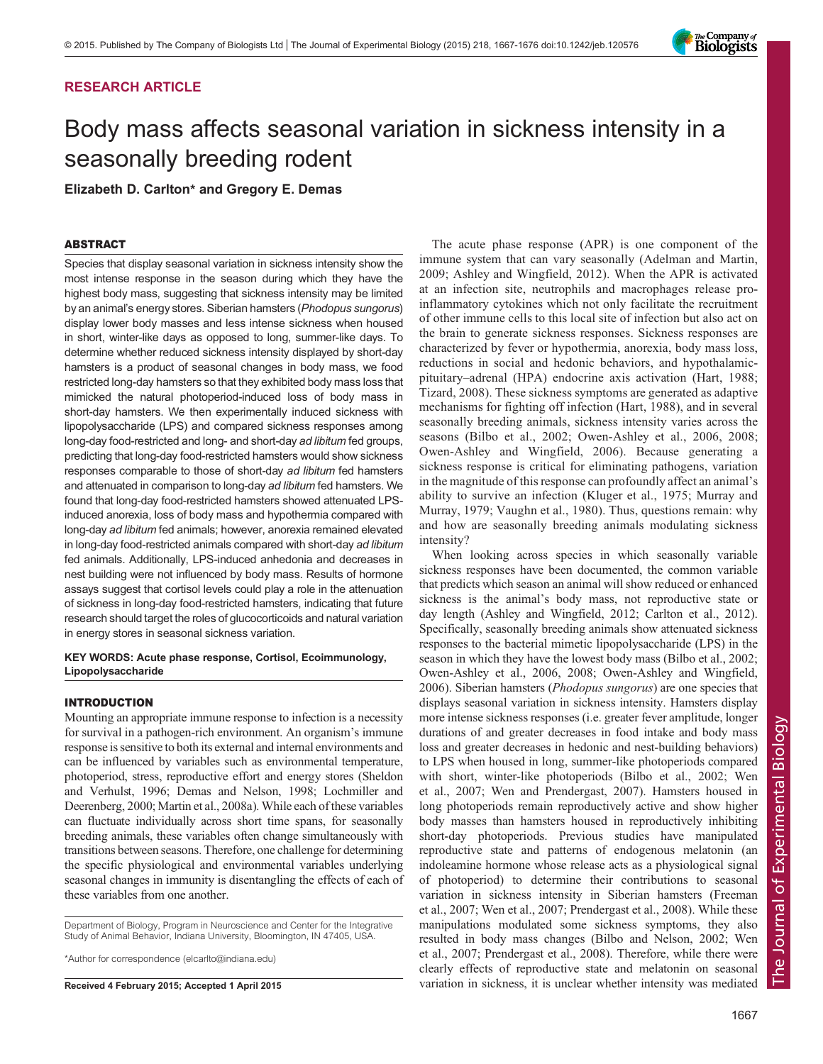# RESEARCH ARTICLE

# Body mass affects seasonal variation in sickness intensity in a seasonally breeding rodent

Elizabeth D. Carlton\* and Gregory E. Demas

# ABSTRACT

Species that display seasonal variation in sickness intensity show the most intense response in the season during which they have the highest body mass, suggesting that sickness intensity may be limited by an animal's energy stores. Siberian hamsters (Phodopus sungorus) display lower body masses and less intense sickness when housed in short, winter-like days as opposed to long, summer-like days. To determine whether reduced sickness intensity displayed by short-day hamsters is a product of seasonal changes in body mass, we food restricted long-day hamsters so that they exhibited body mass loss that mimicked the natural photoperiod-induced loss of body mass in short-day hamsters. We then experimentally induced sickness with lipopolysaccharide (LPS) and compared sickness responses among long-day food-restricted and long- and short-day ad libitum fed groups, predicting that long-day food-restricted hamsters would show sickness responses comparable to those of short-day ad libitum fed hamsters and attenuated in comparison to long-day ad libitum fed hamsters. We found that long-day food-restricted hamsters showed attenuated LPSinduced anorexia, loss of body mass and hypothermia compared with long-day ad libitum fed animals; however, anorexia remained elevated in long-day food-restricted animals compared with short-day ad libitum fed animals. Additionally, LPS-induced anhedonia and decreases in nest building were not influenced by body mass. Results of hormone assays suggest that cortisol levels could play a role in the attenuation of sickness in long-day food-restricted hamsters, indicating that future research should target the roles of glucocorticoids and natural variation in energy stores in seasonal sickness variation.

## KEY WORDS: Acute phase response, Cortisol, Ecoimmunology, Lipopolysaccharide

## INTRODUCTION

Mounting an appropriate immune response to infection is a necessity for survival in a pathogen-rich environment. An organism's immune response is sensitive to both its external and internal environments and can be influenced by variables such as environmental temperature, photoperiod, stress, reproductive effort and energy stores ([Sheldon](#page-9-0) [and Verhulst, 1996;](#page-9-0) [Demas and Nelson, 1998](#page-8-0); [Lochmiller and](#page-9-0) [Deerenberg, 2000](#page-9-0); [Martin et al., 2008a\)](#page-9-0). While each of these variables can fluctuate individually across short time spans, for seasonally breeding animals, these variables often change simultaneously with transitions between seasons. Therefore, one challenge for determining the specific physiological and environmental variables underlying seasonal changes in immunity is disentangling the effects of each of these variables from one another.

Department of Biology, Program in Neuroscience and Center for the Integrative Study of Animal Behavior, Indiana University, Bloomington, IN 47405, USA.

\*Author for correspondence (elcarlto@indiana.edu)

The acute phase response (APR) is one component of the immune system that can vary seasonally ([Adelman and Martin,](#page-8-0) [2009](#page-8-0); [Ashley and Wingfield, 2012](#page-8-0)). When the APR is activated at an infection site, neutrophils and macrophages release proinflammatory cytokines which not only facilitate the recruitment of other immune cells to this local site of infection but also act on the brain to generate sickness responses. Sickness responses are characterized by fever or hypothermia, anorexia, body mass loss, reductions in social and hedonic behaviors, and hypothalamicpituitary–adrenal (HPA) endocrine axis activation [\(Hart, 1988](#page-8-0); [Tizard, 2008\)](#page-9-0). These sickness symptoms are generated as adaptive mechanisms for fighting off infection ([Hart, 1988](#page-8-0)), and in several seasonally breeding animals, sickness intensity varies across the seasons [\(Bilbo et al., 2002;](#page-8-0) [Owen-Ashley et al., 2006](#page-9-0), [2008](#page-9-0); [Owen-Ashley and Wingfield, 2006\)](#page-9-0). Because generating a sickness response is critical for eliminating pathogens, variation in the magnitude of this response can profoundly affect an animal's ability to survive an infection ([Kluger et al., 1975](#page-9-0); [Murray and](#page-9-0) [Murray, 1979](#page-9-0); [Vaughn et al., 1980](#page-9-0)). Thus, questions remain: why and how are seasonally breeding animals modulating sickness intensity?

When looking across species in which seasonally variable sickness responses have been documented, the common variable that predicts which season an animal will show reduced or enhanced sickness is the animal's body mass, not reproductive state or day length ([Ashley and Wingfield, 2012](#page-8-0); [Carlton et al., 2012\)](#page-8-0). Specifically, seasonally breeding animals show attenuated sickness responses to the bacterial mimetic lipopolysaccharide (LPS) in the season in which they have the lowest body mass ([Bilbo et al., 2002](#page-8-0); [Owen-Ashley et al., 2006](#page-9-0), [2008](#page-9-0); [Owen-Ashley and Wingfield,](#page-9-0) [2006\)](#page-9-0). Siberian hamsters (Phodopus sungorus) are one species that displays seasonal variation in sickness intensity. Hamsters display more intense sickness responses (i.e. greater fever amplitude, longer durations of and greater decreases in food intake and body mass loss and greater decreases in hedonic and nest-building behaviors) to LPS when housed in long, summer-like photoperiods compared with short, winter-like photoperiods [\(Bilbo et al., 2002;](#page-8-0) [Wen](#page-9-0) [et al., 2007](#page-9-0); [Wen and Prendergast, 2007](#page-9-0)). Hamsters housed in long photoperiods remain reproductively active and show higher body masses than hamsters housed in reproductively inhibiting short-day photoperiods. Previous studies have manipulated reproductive state and patterns of endogenous melatonin (an indoleamine hormone whose release acts as a physiological signal of photoperiod) to determine their contributions to seasonal variation in sickness intensity in Siberian hamsters [\(Freeman](#page-8-0) [et al., 2007;](#page-8-0) [Wen et al., 2007](#page-9-0); [Prendergast et al., 2008\)](#page-9-0). While these manipulations modulated some sickness symptoms, they also resulted in body mass changes ([Bilbo and Nelson, 2002](#page-8-0); [Wen](#page-9-0) [et al., 2007](#page-9-0); [Prendergast et al., 2008\)](#page-9-0). Therefore, while there were clearly effects of reproductive state and melatonin on seasonal Received 4 February 2015; Accepted 1 April 2015 variation in sickness, it is unclear whether intensity was mediated

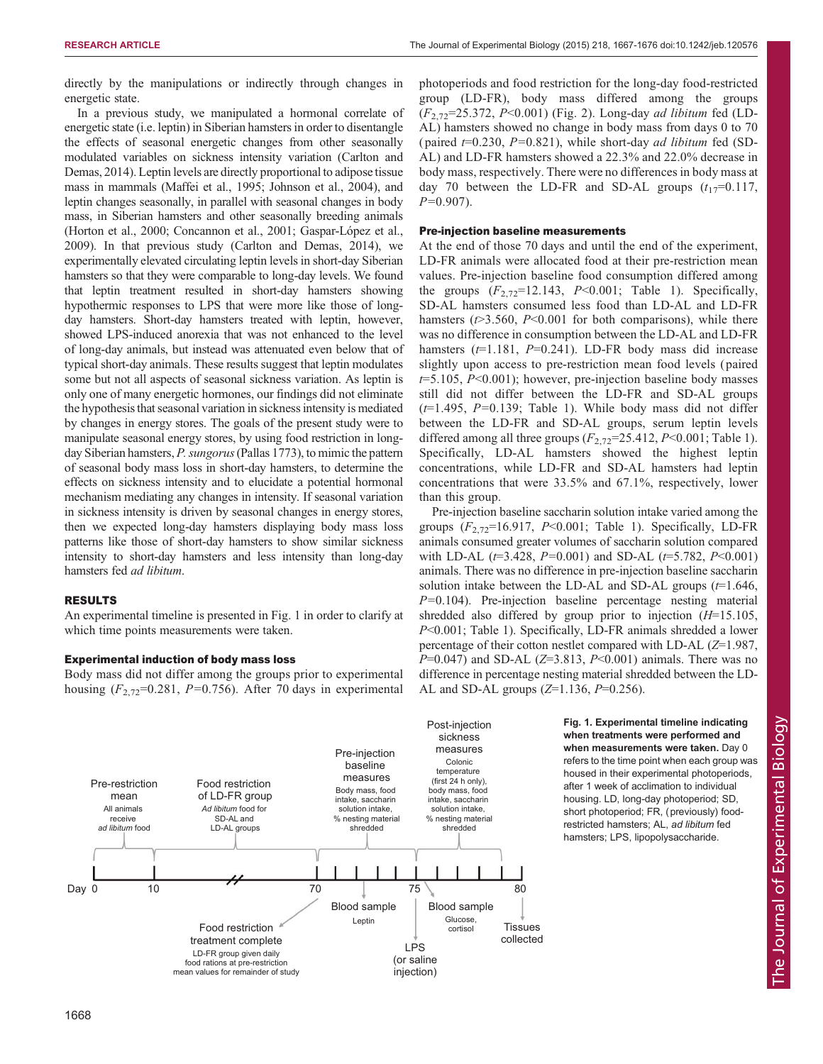directly by the manipulations or indirectly through changes in energetic state.

In a previous study, we manipulated a hormonal correlate of energetic state (i.e. leptin) in Siberian hamsters in order to disentangle the effects of seasonal energetic changes from other seasonally modulated variables on sickness intensity variation [\(Carlton and](#page-8-0) [Demas, 2014](#page-8-0)). Leptin levels are directly proportional to adipose tissue mass in mammals [\(Maffei et al., 1995; Johnson et al., 2004\)](#page-9-0), and leptin changes seasonally, in parallel with seasonal changes in body mass, in Siberian hamsters and other seasonally breeding animals [\(Horton et al., 2000](#page-9-0); [Concannon et al., 2001; Gaspar-López et al.,](#page-8-0) [2009\)](#page-8-0). In that previous study ([Carlton and Demas, 2014\)](#page-8-0), we experimentally elevated circulating leptin levels in short-day Siberian hamsters so that they were comparable to long-day levels. We found that leptin treatment resulted in short-day hamsters showing hypothermic responses to LPS that were more like those of longday hamsters. Short-day hamsters treated with leptin, however, showed LPS-induced anorexia that was not enhanced to the level of long-day animals, but instead was attenuated even below that of typical short-day animals. These results suggest that leptin modulates some but not all aspects of seasonal sickness variation. As leptin is only one of many energetic hormones, our findings did not eliminate the hypothesis that seasonal variation in sickness intensity is mediated by changes in energy stores. The goals of the present study were to manipulate seasonal energy stores, by using food restriction in longday Siberian hamsters, *P. sungorus* (Pallas 1773), to mimic the pattern of seasonal body mass loss in short-day hamsters, to determine the effects on sickness intensity and to elucidate a potential hormonal mechanism mediating any changes in intensity. If seasonal variation in sickness intensity is driven by seasonal changes in energy stores, then we expected long-day hamsters displaying body mass loss patterns like those of short-day hamsters to show similar sickness intensity to short-day hamsters and less intensity than long-day hamsters fed ad libitum.

# RESULTS

An experimental timeline is presented in Fig. 1 in order to clarify at which time points measurements were taken.

## Experimental induction of body mass loss

Body mass did not differ among the groups prior to experimental housing  $(F_{2,72}=0.281, P=0.756)$ . After 70 days in experimental photoperiods and food restriction for the long-day food-restricted group (LD-FR), body mass differed among the groups  $(F_{2.72}=25.372, P<0.001)$  [\(Fig. 2](#page-2-0)). Long-day *ad libitum* fed (LD-AL) hamsters showed no change in body mass from days 0 to 70 (paired  $t=0.230$ ,  $P=0.821$ ), while short-day *ad libitum* fed (SD-AL) and LD-FR hamsters showed a 22.3% and 22.0% decrease in body mass, respectively. There were no differences in body mass at day 70 between the LD-FR and SD-AL groups  $(t_{17}=0.117)$ ,  $P=0.907$ ).

## Pre-injection baseline measurements

At the end of those 70 days and until the end of the experiment, LD-FR animals were allocated food at their pre-restriction mean values. Pre-injection baseline food consumption differed among the groups  $(F_{2.72}=12.143, P<0.001;$  [Table 1](#page-2-0)). Specifically, SD-AL hamsters consumed less food than LD-AL and LD-FR hamsters ( $t > 3.560$ ,  $P < 0.001$  for both comparisons), while there was no difference in consumption between the LD-AL and LD-FR hamsters  $(t=1.181, P=0.241)$ . LD-FR body mass did increase slightly upon access to pre-restriction mean food levels ( paired  $t=5.105$ ,  $P<0.001$ ); however, pre-injection baseline body masses still did not differ between the LD-FR and SD-AL groups  $(t=1.495, P=0.139;$  [Table 1](#page-2-0)). While body mass did not differ between the LD-FR and SD-AL groups, serum leptin levels differed among all three groups  $(F_{2,72}=25.412, P<0.001;$  [Table 1](#page-2-0)). Specifically, LD-AL hamsters showed the highest leptin concentrations, while LD-FR and SD-AL hamsters had leptin concentrations that were 33.5% and 67.1%, respectively, lower than this group.

Pre-injection baseline saccharin solution intake varied among the groups  $(F_{2,72}=16.917, P<0.001$ ; [Table 1](#page-2-0)). Specifically, LD-FR animals consumed greater volumes of saccharin solution compared with LD-AL  $(t=3.428, P=0.001)$  and SD-AL  $(t=5.782, P<0.001)$ animals. There was no difference in pre-injection baseline saccharin solution intake between the LD-AL and SD-AL groups  $(t=1.646,$  $P=0.104$ ). Pre-injection baseline percentage nesting material shredded also differed by group prior to injection  $(H=15.105$ , P<0.001; [Table 1\)](#page-2-0). Specifically, LD-FR animals shredded a lower percentage of their cotton nestlet compared with LD-AL (Z=1.987,  $P=0.047$ ) and SD-AL ( $Z=3.813$ ,  $P<0.001$ ) animals. There was no difference in percentage nesting material shredded between the LD-AL and SD-AL groups  $(Z=1.136, P=0.256)$ .

> Fig. 1. Experimental timeline indicating when treatments were performed and when measurements were taken. Day 0

after 1 week of acclimation to individual

short photoperiod; FR, (previously) foodrestricted hamsters; AL, ad libitum fed hamsters; LPS, lipopolysaccharide.



The Journal of Experimental Biologyhe Journal of Experimental Biology refers to the time point when each group was housed in their experimental photoperiods,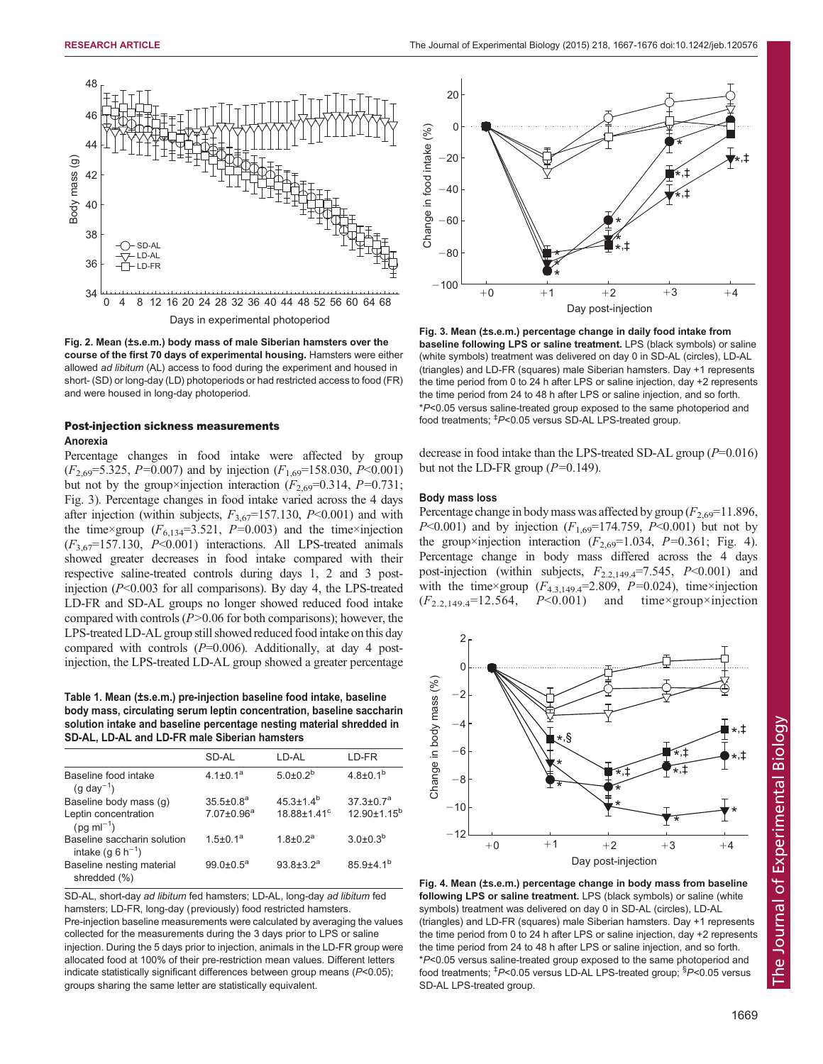<span id="page-2-0"></span>

Fig. 2. Mean (±s.e.m.) body mass of male Siberian hamsters over the course of the first 70 days of experimental housing. Hamsters were either allowed ad libitum (AL) access to food during the experiment and housed in short- (SD) or long-day (LD) photoperiods or had restricted access to food (FR) and were housed in long-day photoperiod.

# Post-injection sickness measurements Anorexia

Percentage changes in food intake were affected by group  $(F_{2,69}=5.325, P=0.007)$  and by injection  $(F_{1,69}=158.030, P<0.001)$ but not by the group×injection interaction  $(F_{2,69}=0.314, P=0.731;$ Fig. 3). Percentage changes in food intake varied across the 4 days after injection (within subjects,  $F_{3,67}$ =157.130, P<0.001) and with the time×group  $(F_{6,134}=3.521, P=0.003)$  and the time×injection  $(F_{3,67} = 157.130, P<0.001)$  interactions. All LPS-treated animals showed greater decreases in food intake compared with their respective saline-treated controls during days 1, 2 and 3 postinjection  $(P<0.003$  for all comparisons). By day 4, the LPS-treated LD-FR and SD-AL groups no longer showed reduced food intake compared with controls  $(P>0.06$  for both comparisons); however, the LPS-treated LD-AL group still showed reduced food intake on this day compared with controls  $(P=0.006)$ . Additionally, at day 4 postinjection, the LPS-treated LD-AL group showed a greater percentage

Table 1. Mean (±s.e.m.) pre-injection baseline food intake, baseline body mass, circulating serum leptin concentration, baseline saccharin solution intake and baseline percentage nesting material shredded in SD-AL, LD-AL and LD-FR male Siberian hamsters

|                                                              | SD-AL                  | LD-AL                         | LD-FR              |
|--------------------------------------------------------------|------------------------|-------------------------------|--------------------|
| Baseline food intake<br>$(g \text{ day}^{-1})$               | $4.1 \pm 0.1^a$        | $5.0\pm0.2^{b}$               | $4.8{\pm}0.1^{b}$  |
| Baseline body mass (g)                                       | $35.5 \pm 0.8^a$       | $45.3 \pm 1.4^b$              | $37.3 \pm 0.7^a$   |
| Leptin concentration<br>$(pq \, ml^{-1})$                    | $7.07 \pm 0.96^a$      | $18.88 \pm 1.41$ <sup>c</sup> | $12.90 \pm 1.15^b$ |
| Baseline saccharin solution<br>intake (q 6 h <sup>-1</sup> ) | 1.5+0.1 <sup>a</sup>   | $1.8 \pm 0.2^a$               | $3.0\pm0.3^{b}$    |
| Baseline nesting material<br>shredded (%)                    | $99.0 \pm 0.5^{\circ}$ | $93.8 + 3.2^a$                | $859+41^{b}$       |

SD-AL, short-day ad libitum fed hamsters; LD-AL, long-day ad libitum fed hamsters; LD-FR, long-day (previously) food restricted hamsters. Pre-injection baseline measurements were calculated by averaging the values collected for the measurements during the 3 days prior to LPS or saline injection. During the 5 days prior to injection, animals in the LD-FR group were allocated food at 100% of their pre-restriction mean values. Different letters indicate statistically significant differences between group means (P<0.05); groups sharing the same letter are statistically equivalent.



Fig. 3. Mean (±s.e.m.) percentage change in daily food intake from baseline following LPS or saline treatment. LPS (black symbols) or saline (white symbols) treatment was delivered on day 0 in SD-AL (circles), LD-AL (triangles) and LD-FR (squares) male Siberian hamsters. Day +1 represents the time period from 0 to 24 h after LPS or saline injection, day +2 represents the time period from 24 to 48 h after LPS or saline injection, and so forth. \*P<0.05 versus saline-treated group exposed to the same photoperiod and food treatments; <sup>‡</sup>P<0.05 versus SD-AL LPS-treated group.

decrease in food intake than the LPS-treated SD-AL group  $(P=0.016)$ but not the LD-FR group  $(P=0.149)$ .

## Body mass loss

Percentage change in body mass was affected by group  $(F_{2,69}=11.896,$  $P<0.001$ ) and by injection  $(F<sub>1.69</sub>=174.759, P<0.001)$  but not by the group×injection interaction  $(F_{2,69}=1.034, P=0.361;$  Fig. 4). Percentage change in body mass differed across the 4 days post-injection (within subjects,  $F_{2,2,149,4}$ =7.545,  $P<0.001$ ) and with the time×group  $(F_{4,3,149,4} = 2.809, P = 0.024)$ , time×injection  $(F_{2,2,149,4}=12.564, P<0.001)$  and time×group×injection



Fig. 4. Mean (±s.e.m.) percentage change in body mass from baseline following LPS or saline treatment. LPS (black symbols) or saline (white symbols) treatment was delivered on day 0 in SD-AL (circles), LD-AL (triangles) and LD-FR (squares) male Siberian hamsters. Day +1 represents the time period from 0 to 24 h after LPS or saline injection, day +2 represents the time period from 24 to 48 h after LPS or saline injection, and so forth. \*P<0.05 versus saline-treated group exposed to the same photoperiod and food treatments; <sup>‡</sup>P<0.05 versus LD-AL LPS-treated group; <sup>§</sup>P<0.05 versus SD-AL LPS-treated group.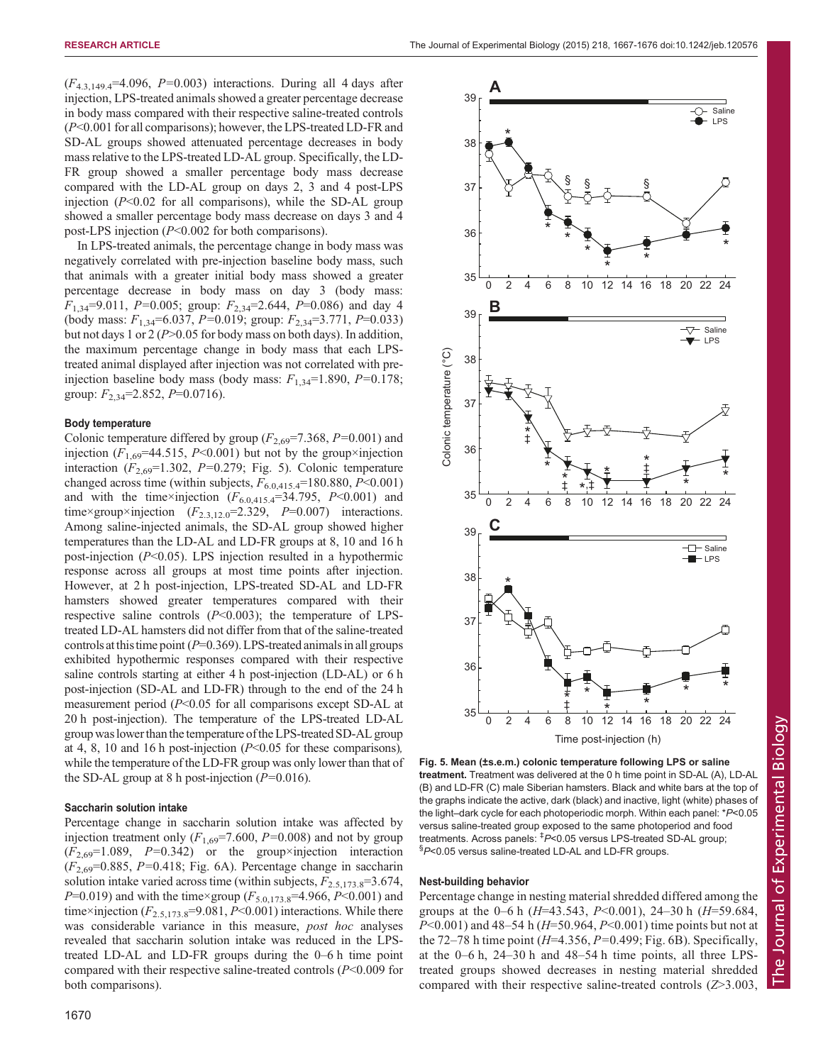$(F_{4,3,149,4} = 4.096, P = 0.003)$  interactions. During all 4 days after injection, LPS-treated animals showed a greater percentage decrease in body mass compared with their respective saline-treated controls (P<0.001 for all comparisons); however, the LPS-treated LD-FR and SD-AL groups showed attenuated percentage decreases in body mass relative to the LPS-treated LD-AL group. Specifically, the LD-FR group showed a smaller percentage body mass decrease compared with the LD-AL group on days 2, 3 and 4 post-LPS injection  $(P<0.02$  for all comparisons), while the SD-AL group showed a smaller percentage body mass decrease on days 3 and 4 post-LPS injection (P<0.002 for both comparisons).

In LPS-treated animals, the percentage change in body mass was negatively correlated with pre-injection baseline body mass, such that animals with a greater initial body mass showed a greater percentage decrease in body mass on day 3 (body mass:  $F_{1,34}$ =9.011, P=0.005; group:  $F_{2,34}$ =2.644, P=0.086) and day 4 (body mass:  $F_{1,34}$ =6.037, P=0.019; group:  $F_{2,34}$ =3.771, P=0.033) but not days 1 or 2 ( $P > 0.05$  for body mass on both days). In addition, the maximum percentage change in body mass that each LPStreated animal displayed after injection was not correlated with preinjection baseline body mass (body mass:  $F_{1,34}=1.890$ ,  $P=0.178$ ; group:  $F_{2,34}$ =2.852, P=0.0716).

## Body temperature

Colonic temperature differed by group  $(F_{2,69}=7.368, P=0.001)$  and injection ( $F_{1,69}$ =44.515, P<0.001) but not by the group×injection interaction  $(F_{2,69}=1.302, P=0.279;$  Fig. 5). Colonic temperature changed across time (within subjects,  $F_{6.0,415,4}$ =180.880, P<0.001) and with the time×injection  $(F_{6.0,415,4} = 34.795, P < 0.001)$  and time×group×injection  $(F_{2,3,12.0} = 2.329, P = 0.007)$  interactions. Among saline-injected animals, the SD-AL group showed higher temperatures than the LD-AL and LD-FR groups at 8, 10 and 16 h post-injection  $(P<0.05)$ . LPS injection resulted in a hypothermic response across all groups at most time points after injection. However, at 2 h post-injection, LPS-treated SD-AL and LD-FR hamsters showed greater temperatures compared with their respective saline controls  $(P<0.003)$ ; the temperature of LPStreated LD-AL hamsters did not differ from that of the saline-treated controls at this time point ( $P=0.369$ ). LPS-treated animals in all groups exhibited hypothermic responses compared with their respective saline controls starting at either 4 h post-injection (LD-AL) or 6 h post-injection (SD-AL and LD-FR) through to the end of the 24 h measurement period (P<0.05 for all comparisons except SD-AL at 20 h post-injection). The temperature of the LPS-treated LD-AL group waslower than the temperature ofthe LPS-treated SD-AL group at 4, 8, 10 and 16 h post-injection  $(P< 0.05$  for these comparisons), while the temperature of the LD-FR group was only lower than that of the SD-AL group at 8 h post-injection  $(P=0.016)$ .

## Saccharin solution intake

Percentage change in saccharin solution intake was affected by injection treatment only  $(F_{1,69} = 7.600, P = 0.008)$  and not by group  $(F_{2,69}=1.089, P=0.342)$  or the group×injection interaction  $(F_{2,69}=0.885, P=0.418;$  [Fig. 6](#page-4-0)A). Percentage change in saccharin solution intake varied across time (within subjects,  $F_{2,5,173.8}$ =3.674,  $P=0.019$ ) and with the time×group ( $F_{5.0,173.8}=4.966$ ,  $P<0.001$ ) and time×injection  $(F_{2.5,173.8} = 9.081, P < 0.001)$  interactions. While there was considerable variance in this measure, *post hoc* analyses revealed that saccharin solution intake was reduced in the LPStreated LD-AL and LD-FR groups during the 0–6 h time point compared with their respective saline-treated controls  $(P<0.009$  for both comparisons).



Fig. 5. Mean (±s.e.m.) colonic temperature following LPS or saline treatment. Treatment was delivered at the 0 h time point in SD-AL (A), LD-AL (B) and LD-FR (C) male Siberian hamsters. Black and white bars at the top of the graphs indicate the active, dark (black) and inactive, light (white) phases of the light–dark cycle for each photoperiodic morph. Within each panel: \*P<0.05 versus saline-treated group exposed to the same photoperiod and food treatments. Across panels: <sup>‡</sup>P<0.05 versus LPS-treated SD-AL group; §P<0.05 versus saline-treated LD-AL and LD-FR groups.

#### Nest-building behavior

Percentage change in nesting material shredded differed among the groups at the 0–6 h  $(H=43.543, P<0.001)$ , 24–30 h  $(H=59.684,$  $P<0.001$ ) and 48–54 h ( $H=50.964, P<0.001$ ) time points but not at the 72–78 h time point ( $H=4.356, P=0.499$ ; [Fig. 6](#page-4-0)B). Specifically, at the 0–6 h, 24–30 h and 48–54 h time points, all three LPStreated groups showed decreases in nesting material shredded compared with their respective saline-treated controls (Z>3.003,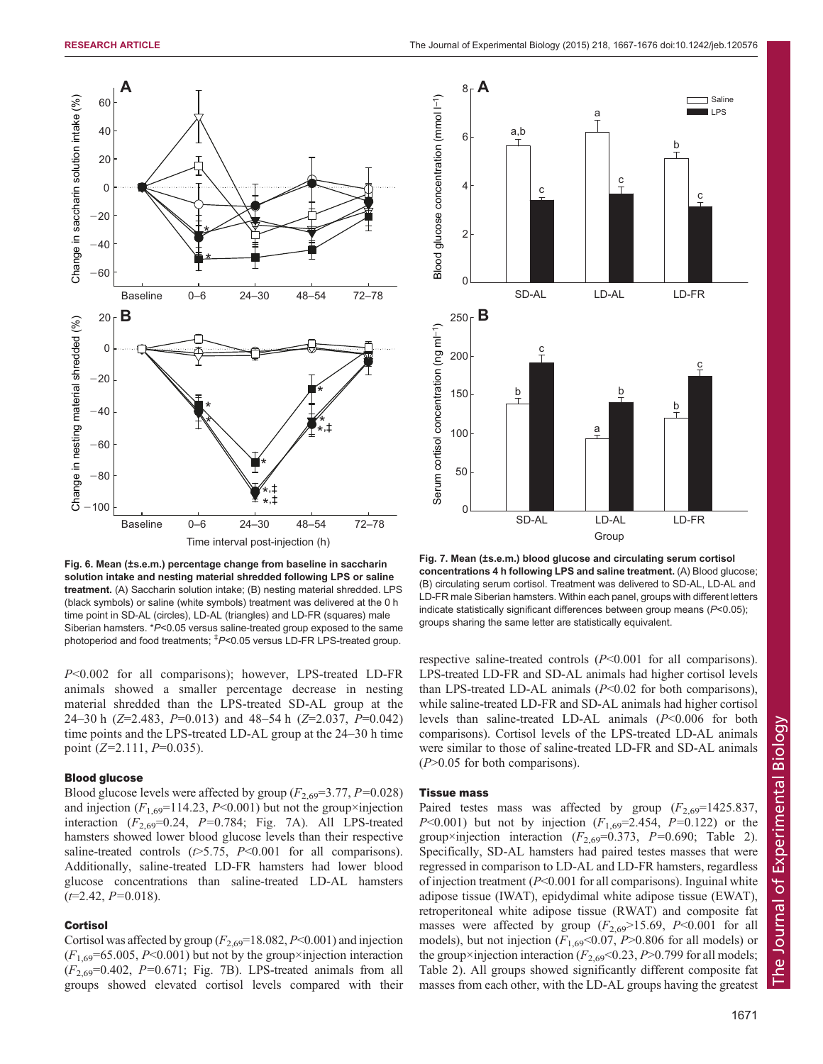<span id="page-4-0"></span>

Fig. 6. Mean (±s.e.m.) percentage change from baseline in saccharin solution intake and nesting material shredded following LPS or saline treatment. (A) Saccharin solution intake; (B) nesting material shredded. LPS (black symbols) or saline (white symbols) treatment was delivered at the 0 h time point in SD-AL (circles), LD-AL (triangles) and LD-FR (squares) male Siberian hamsters. \*P<0.05 versus saline-treated group exposed to the same photoperiod and food treatments; ‡ P<0.05 versus LD-FR LPS-treated group.

P<0.002 for all comparisons); however, LPS-treated LD-FR animals showed a smaller percentage decrease in nesting material shredded than the LPS-treated SD-AL group at the 24–30 h ( $Z=2.483$ ,  $P=0.013$ ) and 48–54 h ( $Z=2.037$ ,  $P=0.042$ ) time points and the LPS-treated LD-AL group at the 24–30 h time point  $(Z=2.111, P=0.035)$ .

## Blood glucose

Blood glucose levels were affected by group  $(F_{2,69}=3.77, P=0.028)$ and injection  $(F_{1,69}=114.23, P<0.001)$  but not the group×injection interaction  $(F_{2,69}=0.24, P=0.784;$  Fig. 7A). All LPS-treated hamsters showed lower blood glucose levels than their respective saline-treated controls ( $\epsilon$ >5.75,  $P$ <0.001 for all comparisons). Additionally, saline-treated LD-FR hamsters had lower blood glucose concentrations than saline-treated LD-AL hamsters  $(t=2.42, P=0.018).$ 

## **Cortisol**

Cortisol was affected by group  $(F_{2,69}=18.082, P<0.001)$  and injection  $(F_{1,69} = 65.005, P \le 0.001)$  but not by the group×injection interaction  $(F_{2.69}=0.402, P=0.671;$  Fig. 7B). LPS-treated animals from all groups showed elevated cortisol levels compared with their



Fig. 7. Mean (±s.e.m.) blood glucose and circulating serum cortisol concentrations 4 h following LPS and saline treatment. (A) Blood glucose; (B) circulating serum cortisol. Treatment was delivered to SD-AL, LD-AL and LD-FR male Siberian hamsters. Within each panel, groups with different letters indicate statistically significant differences between group means (P<0.05); groups sharing the same letter are statistically equivalent.

respective saline-treated controls (P<0.001 for all comparisons). LPS-treated LD-FR and SD-AL animals had higher cortisol levels than LPS-treated LD-AL animals  $(P<0.02$  for both comparisons), while saline-treated LD-FR and SD-AL animals had higher cortisol levels than saline-treated LD-AL animals  $(P<0.006$  for both comparisons). Cortisol levels of the LPS-treated LD-AL animals were similar to those of saline-treated LD-FR and SD-AL animals  $(P>0.05$  for both comparisons).

## Tissue mass

Paired testes mass was affected by group  $(F_{2,69}=1425.837)$ , P<0.001) but not by injection  $(F_{1,69}=2.454, P=0.122)$  or the group×injection interaction ( $F_{2,69}$ =0.373, P=0.690; [Table 2\)](#page-5-0). Specifically, SD-AL hamsters had paired testes masses that were regressed in comparison to LD-AL and LD-FR hamsters, regardless of injection treatment  $(P<0.001$  for all comparisons). Inguinal white adipose tissue (IWAT), epidydimal white adipose tissue (EWAT), retroperitoneal white adipose tissue (RWAT) and composite fat masses were affected by group  $(F_{2,69} > 15.69, P < 0.001$  for all models), but not injection ( $F_{1,69}$ <0.07, P>0.806 for all models) or the group×injection interaction ( $F_{2,69}$ <0.23, P>0.799 for all models; [Table 2](#page-5-0)). All groups showed significantly different composite fat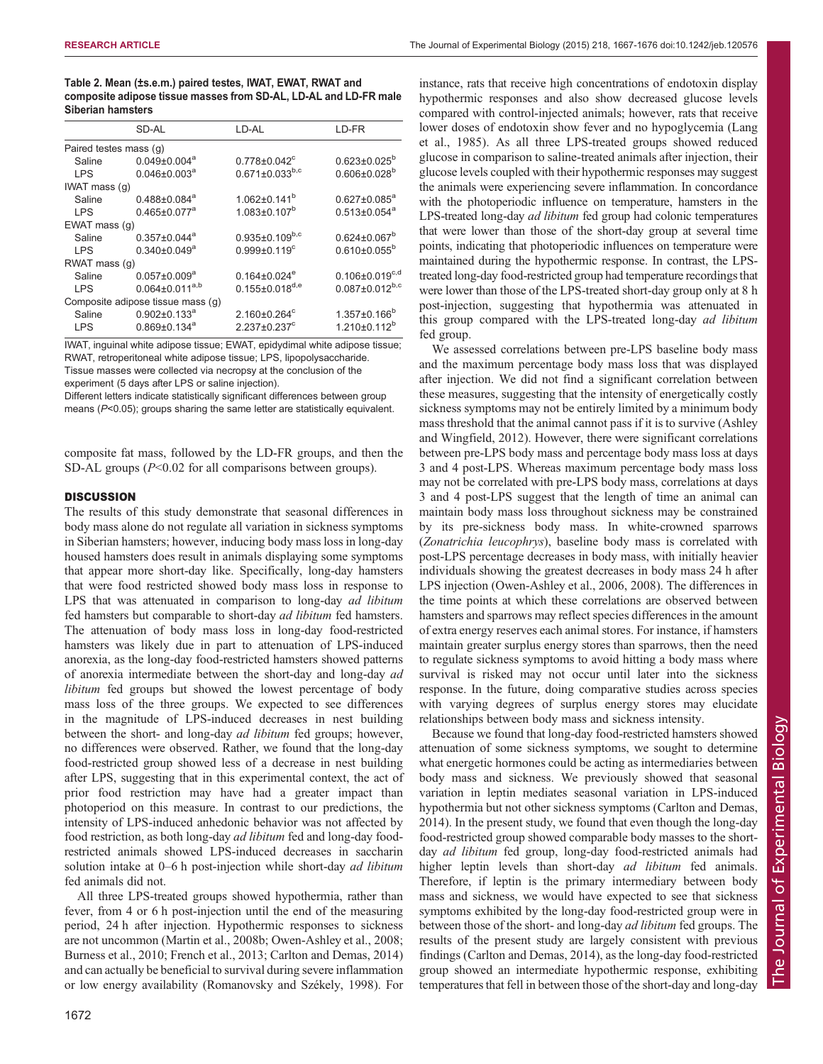<span id="page-5-0"></span>Table 2. Mean (±s.e.m.) paired testes, IWAT, EWAT, RWAT and composite adipose tissue masses from SD-AL, LD-AL and LD-FR male Siberian hamsters

|                        | SD-AL                             | LD-AL                          | LD-FR                          |  |
|------------------------|-----------------------------------|--------------------------------|--------------------------------|--|
| Paired testes mass (g) |                                   |                                |                                |  |
| Saline                 | $0.049 \pm 0.004$ <sup>a</sup>    | $0.778 \pm 0.042$ <sup>c</sup> | $0.623 \pm 0.025^b$            |  |
| <b>LPS</b>             | $0.046 \pm 0.003$ <sup>a</sup>    | $0.671 \pm 0.033^{b,c}$        | $0.606 \pm 0.028^{b}$          |  |
| IWAT mass (g)          |                                   |                                |                                |  |
| Saline                 | $0.488 \pm 0.084$ <sup>a</sup>    | $1.062 \pm 0.141$ <sup>b</sup> | $0.627 \pm 0.085^a$            |  |
| <b>LPS</b>             | $0.465 \pm 0.077$ <sup>a</sup>    | $1.083 \pm 0.107^b$            | $0.513 \pm 0.054$ <sup>a</sup> |  |
| EWAT mass (g)          |                                   |                                |                                |  |
| Saline                 | $0.357 \pm 0.044$ <sup>a</sup>    | $0.935 \pm 0.109^{b,c}$        | $0.624 \pm 0.067^b$            |  |
| <b>LPS</b>             | $0.340 \pm 0.049$ <sup>a</sup>    | $0.999 \pm 0.119$ <sup>c</sup> | $0.610\pm0.055^{b}$            |  |
| RWAT mass (g)          |                                   |                                |                                |  |
| Saline                 | $0.057 \pm 0.009^a$               | $0.164 \pm 0.024$ <sup>e</sup> | $0.106 \pm 0.019^{c,d}$        |  |
| LPS.                   | $0.064 \pm 0.011^{a,b}$           | $0.155 \pm 0.018^{d,e}$        | $0.087 \pm 0.012^{b,c}$        |  |
|                        | Composite adipose tissue mass (g) |                                |                                |  |
| Saline                 | $0.902 \pm 0.133$ <sup>a</sup>    | $2.160 \pm 0.264$ °            | $1.357 \pm 0.166^{\circ}$      |  |
| <b>LPS</b>             | $0.869 \pm 0.134$ <sup>a</sup>    | $2.237 \pm 0.237$ <sup>c</sup> | $1.210 \pm 0.112^b$            |  |
|                        |                                   |                                |                                |  |

IWAT, inguinal white adipose tissue; EWAT, epidydimal white adipose tissue; RWAT, retroperitoneal white adipose tissue; LPS, lipopolysaccharide. Tissue masses were collected via necropsy at the conclusion of the experiment (5 days after LPS or saline injection).

Different letters indicate statistically significant differences between group means (P<0.05); groups sharing the same letter are statistically equivalent.

composite fat mass, followed by the LD-FR groups, and then the SD-AL groups  $(P<0.02$  for all comparisons between groups).

## **DISCUSSION**

The results of this study demonstrate that seasonal differences in body mass alone do not regulate all variation in sickness symptoms in Siberian hamsters; however, inducing body mass loss in long-day housed hamsters does result in animals displaying some symptoms that appear more short-day like. Specifically, long-day hamsters that were food restricted showed body mass loss in response to LPS that was attenuated in comparison to long-day *ad libitum* fed hamsters but comparable to short-day ad libitum fed hamsters. The attenuation of body mass loss in long-day food-restricted hamsters was likely due in part to attenuation of LPS-induced anorexia, as the long-day food-restricted hamsters showed patterns of anorexia intermediate between the short-day and long-day ad libitum fed groups but showed the lowest percentage of body mass loss of the three groups. We expected to see differences in the magnitude of LPS-induced decreases in nest building between the short- and long-day ad libitum fed groups; however, no differences were observed. Rather, we found that the long-day food-restricted group showed less of a decrease in nest building after LPS, suggesting that in this experimental context, the act of prior food restriction may have had a greater impact than photoperiod on this measure. In contrast to our predictions, the intensity of LPS-induced anhedonic behavior was not affected by food restriction, as both long-day ad libitum fed and long-day foodrestricted animals showed LPS-induced decreases in saccharin solution intake at 0–6 h post-injection while short-day *ad libitum* fed animals did not.

All three LPS-treated groups showed hypothermia, rather than fever, from 4 or 6 h post-injection until the end of the measuring period, 24 h after injection. Hypothermic responses to sickness are not uncommon [\(Martin et al., 2008b](#page-9-0); [Owen-Ashley et al., 2008](#page-9-0); [Burness et al., 2010](#page-8-0); [French et al., 2013](#page-8-0); [Carlton and Demas, 2014\)](#page-8-0) and can actually be beneficial to survival during severe inflammation or low energy availability [\(Romanovsky and Székely, 1998](#page-9-0)). For instance, rats that receive high concentrations of endotoxin display hypothermic responses and also show decreased glucose levels compared with control-injected animals; however, rats that receive lower doses of endotoxin show fever and no hypoglycemia ([Lang](#page-9-0) [et al., 1985\)](#page-9-0). As all three LPS-treated groups showed reduced glucose in comparison to saline-treated animals after injection, their glucose levels coupled with their hypothermic responses may suggest the animals were experiencing severe inflammation. In concordance with the photoperiodic influence on temperature, hamsters in the LPS-treated long-day ad libitum fed group had colonic temperatures that were lower than those of the short-day group at several time points, indicating that photoperiodic influences on temperature were maintained during the hypothermic response. In contrast, the LPStreated long-day food-restricted group had temperature recordings that were lower than those of the LPS-treated short-day group only at 8 h post-injection, suggesting that hypothermia was attenuated in this group compared with the LPS-treated long-day *ad libitum* fed group.

We assessed correlations between pre-LPS baseline body mass and the maximum percentage body mass loss that was displayed after injection. We did not find a significant correlation between these measures, suggesting that the intensity of energetically costly sickness symptoms may not be entirely limited by a minimum body mass threshold that the animal cannot pass if it is to survive [\(Ashley](#page-8-0) [and Wingfield, 2012\)](#page-8-0). However, there were significant correlations between pre-LPS body mass and percentage body mass loss at days 3 and 4 post-LPS. Whereas maximum percentage body mass loss may not be correlated with pre-LPS body mass, correlations at days 3 and 4 post-LPS suggest that the length of time an animal can maintain body mass loss throughout sickness may be constrained by its pre-sickness body mass. In white-crowned sparrows (Zonatrichia leucophrys), baseline body mass is correlated with post-LPS percentage decreases in body mass, with initially heavier individuals showing the greatest decreases in body mass 24 h after LPS injection ([Owen-Ashley et al., 2006, 2008](#page-9-0)). The differences in the time points at which these correlations are observed between hamsters and sparrows may reflect species differences in the amount of extra energy reserves each animal stores. For instance, if hamsters maintain greater surplus energy stores than sparrows, then the need to regulate sickness symptoms to avoid hitting a body mass where survival is risked may not occur until later into the sickness response. In the future, doing comparative studies across species with varying degrees of surplus energy stores may elucidate relationships between body mass and sickness intensity.

Because we found that long-day food-restricted hamsters showed attenuation of some sickness symptoms, we sought to determine what energetic hormones could be acting as intermediaries between body mass and sickness. We previously showed that seasonal variation in leptin mediates seasonal variation in LPS-induced hypothermia but not other sickness symptoms [\(Carlton and Demas,](#page-8-0) [2014\)](#page-8-0). In the present study, we found that even though the long-day food-restricted group showed comparable body masses to the shortday ad libitum fed group, long-day food-restricted animals had higher leptin levels than short-day *ad libitum* fed animals. Therefore, if leptin is the primary intermediary between body mass and sickness, we would have expected to see that sickness symptoms exhibited by the long-day food-restricted group were in between those of the short- and long-day ad libitum fed groups. The results of the present study are largely consistent with previous findings ([Carlton and Demas, 2014](#page-8-0)), as the long-day food-restricted group showed an intermediate hypothermic response, exhibiting temperatures that fell in between those of the short-day and long-day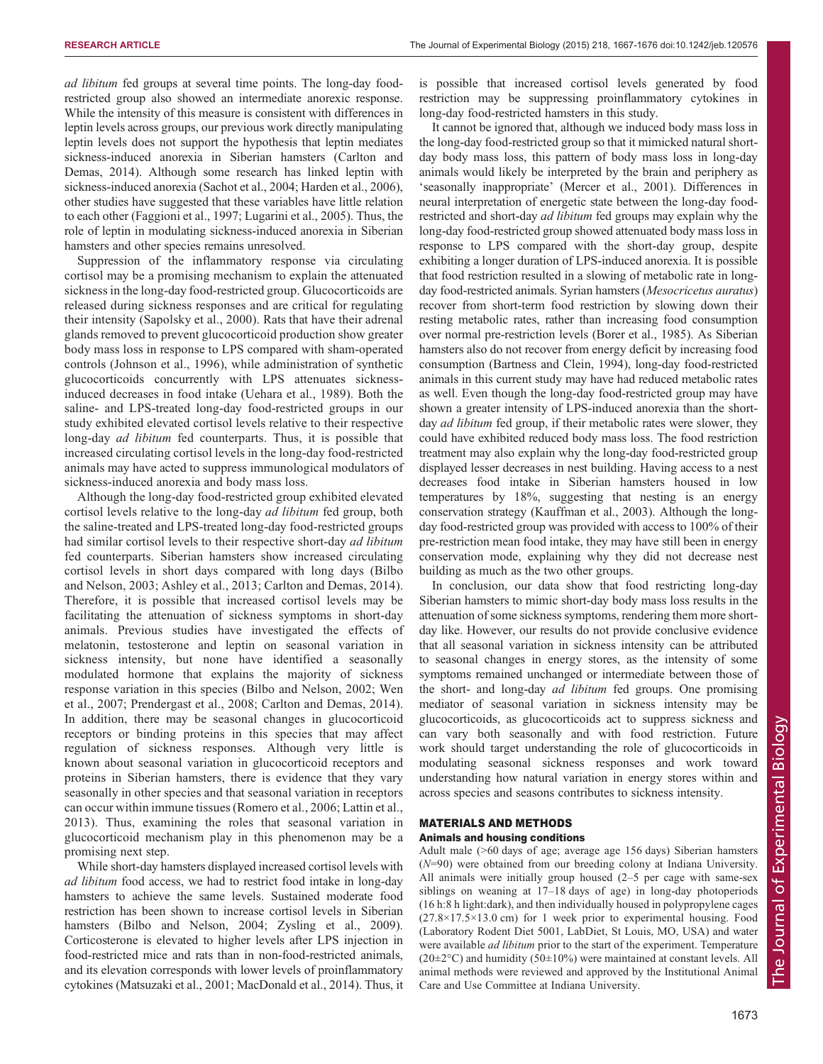ad libitum fed groups at several time points. The long-day foodrestricted group also showed an intermediate anorexic response. While the intensity of this measure is consistent with differences in leptin levels across groups, our previous work directly manipulating leptin levels does not support the hypothesis that leptin mediates sickness-induced anorexia in Siberian hamsters ([Carlton and](#page-8-0) [Demas, 2014](#page-8-0)). Although some research has linked leptin with sickness-induced anorexia [\(Sachot et al., 2004;](#page-9-0) [Harden et al., 2006\)](#page-8-0), other studies have suggested that these variables have little relation to each other ([Faggioni et al., 1997](#page-8-0); [Lugarini et al., 2005\)](#page-9-0). Thus, the role of leptin in modulating sickness-induced anorexia in Siberian hamsters and other species remains unresolved.

Suppression of the inflammatory response via circulating cortisol may be a promising mechanism to explain the attenuated sickness in the long-day food-restricted group. Glucocorticoids are released during sickness responses and are critical for regulating their intensity ([Sapolsky et al., 2000\)](#page-9-0). Rats that have their adrenal glands removed to prevent glucocorticoid production show greater body mass loss in response to LPS compared with sham-operated controls ([Johnson et al., 1996\)](#page-9-0), while administration of synthetic glucocorticoids concurrently with LPS attenuates sicknessinduced decreases in food intake ([Uehara et al., 1989\)](#page-9-0). Both the saline- and LPS-treated long-day food-restricted groups in our study exhibited elevated cortisol levels relative to their respective long-day *ad libitum* fed counterparts. Thus, it is possible that increased circulating cortisol levels in the long-day food-restricted animals may have acted to suppress immunological modulators of sickness-induced anorexia and body mass loss.

Although the long-day food-restricted group exhibited elevated cortisol levels relative to the long-day *ad libitum* fed group, both the saline-treated and LPS-treated long-day food-restricted groups had similar cortisol levels to their respective short-day ad libitum fed counterparts. Siberian hamsters show increased circulating cortisol levels in short days compared with long days ([Bilbo](#page-8-0) [and Nelson, 2003](#page-8-0); [Ashley et al., 2013; Carlton and Demas, 2014](#page-8-0)). Therefore, it is possible that increased cortisol levels may be facilitating the attenuation of sickness symptoms in short-day animals. Previous studies have investigated the effects of melatonin, testosterone and leptin on seasonal variation in sickness intensity, but none have identified a seasonally modulated hormone that explains the majority of sickness response variation in this species ([Bilbo and Nelson, 2002;](#page-8-0) [Wen](#page-9-0) [et al., 2007; Prendergast et al., 2008](#page-9-0); [Carlton and Demas, 2014](#page-8-0)). In addition, there may be seasonal changes in glucocorticoid receptors or binding proteins in this species that may affect regulation of sickness responses. Although very little is known about seasonal variation in glucocorticoid receptors and proteins in Siberian hamsters, there is evidence that they vary seasonally in other species and that seasonal variation in receptors can occur within immune tissues ([Romero et al., 2006; Lattin et al.,](#page-9-0) [2013](#page-9-0)). Thus, examining the roles that seasonal variation in glucocorticoid mechanism play in this phenomenon may be a promising next step.

While short-day hamsters displayed increased cortisol levels with ad libitum food access, we had to restrict food intake in long-day hamsters to achieve the same levels. Sustained moderate food restriction has been shown to increase cortisol levels in Siberian hamsters ([Bilbo and Nelson, 2004;](#page-8-0) [Zysling et al., 2009\)](#page-9-0). Corticosterone is elevated to higher levels after LPS injection in food-restricted mice and rats than in non-food-restricted animals, and its elevation corresponds with lower levels of proinflammatory cytokines [\(Matsuzaki et al., 2001; MacDonald et al., 2014](#page-9-0)). Thus, it is possible that increased cortisol levels generated by food restriction may be suppressing proinflammatory cytokines in long-day food-restricted hamsters in this study.

It cannot be ignored that, although we induced body mass loss in the long-day food-restricted group so that it mimicked natural shortday body mass loss, this pattern of body mass loss in long-day animals would likely be interpreted by the brain and periphery as 'seasonally inappropriate' ([Mercer et al., 2001](#page-9-0)). Differences in neural interpretation of energetic state between the long-day foodrestricted and short-day ad libitum fed groups may explain why the long-day food-restricted group showed attenuated body mass loss in response to LPS compared with the short-day group, despite exhibiting a longer duration of LPS-induced anorexia. It is possible that food restriction resulted in a slowing of metabolic rate in longday food-restricted animals. Syrian hamsters (Mesocricetus auratus) recover from short-term food restriction by slowing down their resting metabolic rates, rather than increasing food consumption over normal pre-restriction levels ([Borer et al., 1985\)](#page-8-0). As Siberian hamsters also do not recover from energy deficit by increasing food consumption [\(Bartness and Clein, 1994](#page-8-0)), long-day food-restricted animals in this current study may have had reduced metabolic rates as well. Even though the long-day food-restricted group may have shown a greater intensity of LPS-induced anorexia than the shortday *ad libitum* fed group, if their metabolic rates were slower, they could have exhibited reduced body mass loss. The food restriction treatment may also explain why the long-day food-restricted group displayed lesser decreases in nest building. Having access to a nest decreases food intake in Siberian hamsters housed in low temperatures by 18%, suggesting that nesting is an energy conservation strategy [\(Kauffman et al., 2003](#page-9-0)). Although the longday food-restricted group was provided with access to 100% of their pre-restriction mean food intake, they may have still been in energy conservation mode, explaining why they did not decrease nest building as much as the two other groups.

In conclusion, our data show that food restricting long-day Siberian hamsters to mimic short-day body mass loss results in the attenuation of some sickness symptoms, rendering them more shortday like. However, our results do not provide conclusive evidence that all seasonal variation in sickness intensity can be attributed to seasonal changes in energy stores, as the intensity of some symptoms remained unchanged or intermediate between those of the short- and long-day ad libitum fed groups. One promising mediator of seasonal variation in sickness intensity may be glucocorticoids, as glucocorticoids act to suppress sickness and can vary both seasonally and with food restriction. Future work should target understanding the role of glucocorticoids in modulating seasonal sickness responses and work toward understanding how natural variation in energy stores within and across species and seasons contributes to sickness intensity.

# MATERIALS AND METHODS

## Animals and housing conditions

Adult male (>60 days of age; average age 156 days) Siberian hamsters (N=90) were obtained from our breeding colony at Indiana University. All animals were initially group housed (2–5 per cage with same-sex siblings on weaning at 17–18 days of age) in long-day photoperiods (16 h:8 h light:dark), and then individually housed in polypropylene cages  $(27.8\times17.5\times13.0$  cm) for 1 week prior to experimental housing. Food (Laboratory Rodent Diet 5001, LabDiet, St Louis, MO, USA) and water were available *ad libitum* prior to the start of the experiment. Temperature  $(20\pm2\degree C)$  and humidity  $(50\pm10\%)$  were maintained at constant levels. All animal methods were reviewed and approved by the Institutional Animal Care and Use Committee at Indiana University.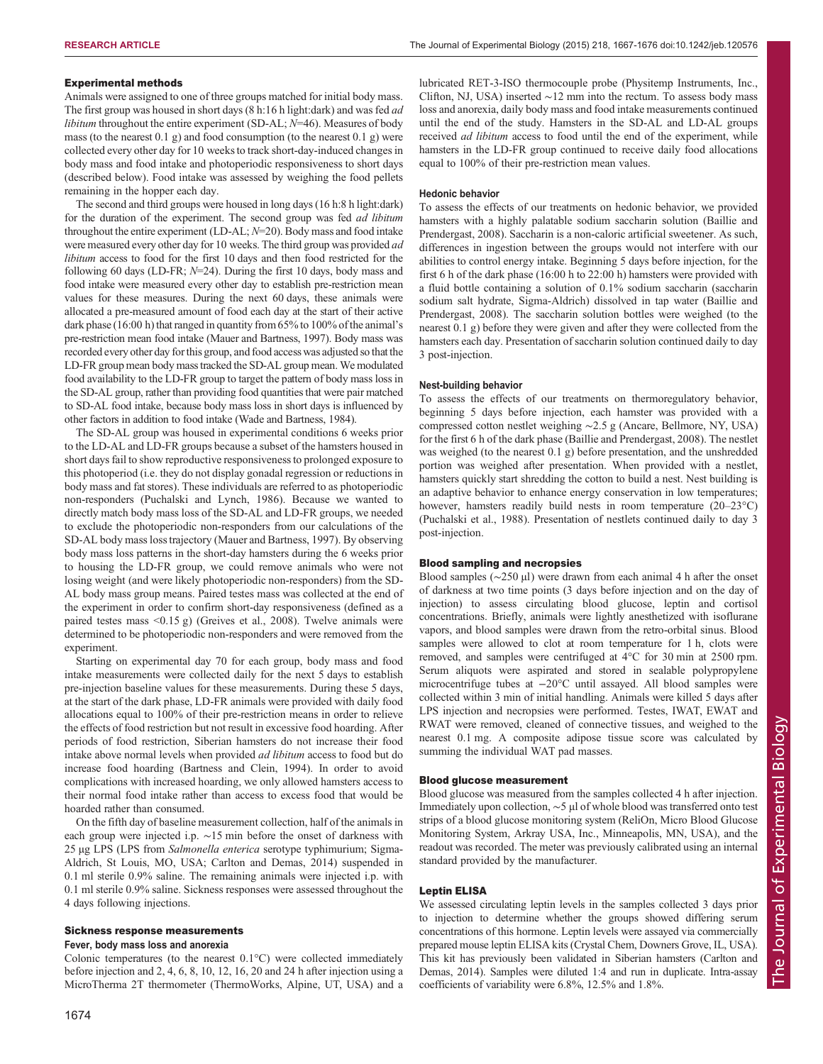## Experimental methods

Animals were assigned to one of three groups matched for initial body mass. The first group was housed in short days (8 h:16 h light:dark) and was fed *ad libitum* throughout the entire experiment (SD-AL;  $N=46$ ). Measures of body mass (to the nearest 0.1 g) and food consumption (to the nearest 0.1 g) were collected every other day for 10 weeks to track short-day-induced changes in body mass and food intake and photoperiodic responsiveness to short days (described below). Food intake was assessed by weighing the food pellets remaining in the hopper each day.

The second and third groups were housed in long days (16 h:8 h light:dark) for the duration of the experiment. The second group was fed *ad libitum* throughout the entire experiment (LD-AL;  $N=20$ ). Body mass and food intake were measured every other day for 10 weeks. The third group was provided ad libitum access to food for the first 10 days and then food restricted for the following 60 days (LD-FR;  $N=24$ ). During the first 10 days, body mass and food intake were measured every other day to establish pre-restriction mean values for these measures. During the next 60 days, these animals were allocated a pre-measured amount of food each day at the start of their active dark phase (16:00 h) that ranged in quantity from 65% to 100% of the animal's pre-restriction mean food intake [\(Mauer and Bartness, 1997](#page-9-0)). Body mass was recorded every other day for this group, and food access was adjusted so that the LD-FR group mean body mass tracked the SD-AL group mean. We modulated food availability to the LD-FR group to target the pattern of body mass loss in the SD-AL group, rather than providing food quantities that were pair matched to SD-AL food intake, because body mass loss in short days is influenced by other factors in addition to food intake ([Wade and Bartness, 1984](#page-9-0)).

The SD-AL group was housed in experimental conditions 6 weeks prior to the LD-AL and LD-FR groups because a subset of the hamsters housed in short days fail to show reproductive responsiveness to prolonged exposure to this photoperiod (i.e. they do not display gonadal regression or reductions in body mass and fat stores). These individuals are referred to as photoperiodic non-responders [\(Puchalski and Lynch, 1986\)](#page-9-0). Because we wanted to directly match body mass loss of the SD-AL and LD-FR groups, we needed to exclude the photoperiodic non-responders from our calculations of the SD-AL body mass loss trajectory [\(Mauer and Bartness, 1997\)](#page-9-0). By observing body mass loss patterns in the short-day hamsters during the 6 weeks prior to housing the LD-FR group, we could remove animals who were not losing weight (and were likely photoperiodic non-responders) from the SD-AL body mass group means. Paired testes mass was collected at the end of the experiment in order to confirm short-day responsiveness (defined as a paired testes mass <0.15 g) [\(Greives et al., 2008](#page-8-0)). Twelve animals were determined to be photoperiodic non-responders and were removed from the experiment.

Starting on experimental day 70 for each group, body mass and food intake measurements were collected daily for the next 5 days to establish pre-injection baseline values for these measurements. During these 5 days, at the start of the dark phase, LD-FR animals were provided with daily food allocations equal to 100% of their pre-restriction means in order to relieve the effects of food restriction but not result in excessive food hoarding. After periods of food restriction, Siberian hamsters do not increase their food intake above normal levels when provided ad libitum access to food but do increase food hoarding ([Bartness and Clein, 1994](#page-8-0)). In order to avoid complications with increased hoarding, we only allowed hamsters access to their normal food intake rather than access to excess food that would be hoarded rather than consumed.

On the fifth day of baseline measurement collection, half of the animals in each group were injected i.p. ∼15 min before the onset of darkness with 25 µg LPS (LPS from Salmonella enterica serotype typhimurium; Sigma-Aldrich, St Louis, MO, USA; [Carlton and Demas, 2014](#page-8-0)) suspended in 0.1 ml sterile 0.9% saline. The remaining animals were injected i.p. with 0.1 ml sterile 0.9% saline. Sickness responses were assessed throughout the 4 days following injections.

#### Sickness response measurements

#### Fever, body mass loss and anorexia

Colonic temperatures (to the nearest 0.1°C) were collected immediately before injection and 2, 4, 6, 8, 10, 12, 16, 20 and 24 h after injection using a MicroTherma 2T thermometer (ThermoWorks, Alpine, UT, USA) and a lubricated RET-3-ISO thermocouple probe (Physitemp Instruments, Inc., Clifton, NJ, USA) inserted ∼12 mm into the rectum. To assess body mass loss and anorexia, daily body mass and food intake measurements continued until the end of the study. Hamsters in the SD-AL and LD-AL groups received *ad libitum* access to food until the end of the experiment, while hamsters in the LD-FR group continued to receive daily food allocations equal to 100% of their pre-restriction mean values.

#### Hedonic behavior

To assess the effects of our treatments on hedonic behavior, we provided hamsters with a highly palatable sodium saccharin solution [\(Baillie and](#page-8-0) [Prendergast, 2008](#page-8-0)). Saccharin is a non-caloric artificial sweetener. As such, differences in ingestion between the groups would not interfere with our abilities to control energy intake. Beginning 5 days before injection, for the first 6 h of the dark phase (16:00 h to 22:00 h) hamsters were provided with a fluid bottle containing a solution of 0.1% sodium saccharin (saccharin sodium salt hydrate, Sigma-Aldrich) dissolved in tap water ([Baillie and](#page-8-0) [Prendergast, 2008\)](#page-8-0). The saccharin solution bottles were weighed (to the nearest 0.1 g) before they were given and after they were collected from the hamsters each day. Presentation of saccharin solution continued daily to day 3 post-injection.

## Nest-building behavior

To assess the effects of our treatments on thermoregulatory behavior, beginning 5 days before injection, each hamster was provided with a compressed cotton nestlet weighing ∼2.5 g (Ancare, Bellmore, NY, USA) for the first 6 h of the dark phase [\(Baillie and Prendergast, 2008](#page-8-0)). The nestlet was weighed (to the nearest 0.1 g) before presentation, and the unshredded portion was weighed after presentation. When provided with a nestlet, hamsters quickly start shredding the cotton to build a nest. Nest building is an adaptive behavior to enhance energy conservation in low temperatures; however, hamsters readily build nests in room temperature (20–23°C) ([Puchalski et al., 1988\)](#page-9-0). Presentation of nestlets continued daily to day 3 post-injection.

## Blood sampling and necropsies

Blood samples (∼250 µl) were drawn from each animal 4 h after the onset of darkness at two time points (3 days before injection and on the day of injection) to assess circulating blood glucose, leptin and cortisol concentrations. Briefly, animals were lightly anesthetized with isoflurane vapors, and blood samples were drawn from the retro-orbital sinus. Blood samples were allowed to clot at room temperature for 1 h, clots were removed, and samples were centrifuged at 4°C for 30 min at 2500 rpm. Serum aliquots were aspirated and stored in sealable polypropylene microcentrifuge tubes at −20°C until assayed. All blood samples were collected within 3 min of initial handling. Animals were killed 5 days after LPS injection and necropsies were performed. Testes, IWAT, EWAT and RWAT were removed, cleaned of connective tissues, and weighed to the nearest 0.1 mg. A composite adipose tissue score was calculated by summing the individual WAT pad masses.

## Blood glucose measurement

Blood glucose was measured from the samples collected 4 h after injection. Immediately upon collection, ∼5 µl of whole blood was transferred onto test strips of a blood glucose monitoring system (ReliOn, Micro Blood Glucose Monitoring System, Arkray USA, Inc., Minneapolis, MN, USA), and the readout was recorded. The meter was previously calibrated using an internal standard provided by the manufacturer.

## Leptin ELISA

We assessed circulating leptin levels in the samples collected 3 days prior to injection to determine whether the groups showed differing serum concentrations of this hormone. Leptin levels were assayed via commercially prepared mouse leptin ELISA kits (Crystal Chem, Downers Grove, IL, USA). This kit has previously been validated in Siberian hamsters ([Carlton and](#page-8-0) [Demas, 2014\)](#page-8-0). Samples were diluted 1:4 and run in duplicate. Intra-assay coefficients of variability were 6.8%, 12.5% and 1.8%.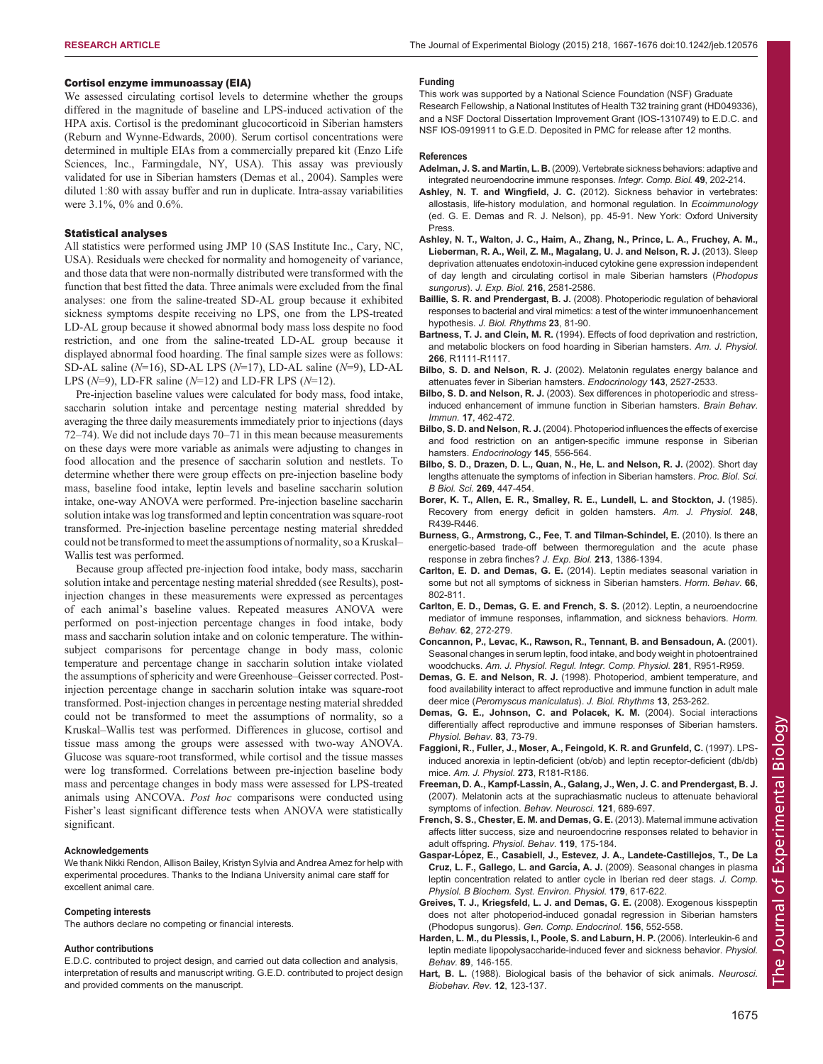## <span id="page-8-0"></span>Cortisol enzyme immunoassay (EIA)

We assessed circulating cortisol levels to determine whether the groups differed in the magnitude of baseline and LPS-induced activation of the HPA axis. Cortisol is the predominant glucocorticoid in Siberian hamsters ([Reburn and Wynne-Edwards, 2000\)](#page-9-0). Serum cortisol concentrations were determined in multiple EIAs from a commercially prepared kit (Enzo Life Sciences, Inc., Farmingdale, NY, USA). This assay was previously validated for use in Siberian hamsters (Demas et al., 2004). Samples were diluted 1:80 with assay buffer and run in duplicate. Intra-assay variabilities were 3.1%, 0% and 0.6%.

## Statistical analyses

All statistics were performed using JMP 10 (SAS Institute Inc., Cary, NC, USA). Residuals were checked for normality and homogeneity of variance, and those data that were non-normally distributed were transformed with the function that best fitted the data. Three animals were excluded from the final analyses: one from the saline-treated SD-AL group because it exhibited sickness symptoms despite receiving no LPS, one from the LPS-treated LD-AL group because it showed abnormal body mass loss despite no food restriction, and one from the saline-treated LD-AL group because it displayed abnormal food hoarding. The final sample sizes were as follows: SD-AL saline (N=16), SD-AL LPS (N=17), LD-AL saline (N=9), LD-AL LPS ( $N=9$ ), LD-FR saline ( $N=12$ ) and LD-FR LPS ( $N=12$ ).

Pre-injection baseline values were calculated for body mass, food intake, saccharin solution intake and percentage nesting material shredded by averaging the three daily measurements immediately prior to injections (days 72–74). We did not include days 70–71 in this mean because measurements on these days were more variable as animals were adjusting to changes in food allocation and the presence of saccharin solution and nestlets. To determine whether there were group effects on pre-injection baseline body mass, baseline food intake, leptin levels and baseline saccharin solution intake, one-way ANOVA were performed. Pre-injection baseline saccharin solution intake was log transformed and leptin concentration was square-root transformed. Pre-injection baseline percentage nesting material shredded could not be transformed to meet the assumptions of normality, so a Kruskal– Wallis test was performed.

Because group affected pre-injection food intake, body mass, saccharin solution intake and percentage nesting material shredded (see Results), postinjection changes in these measurements were expressed as percentages of each animal's baseline values. Repeated measures ANOVA were performed on post-injection percentage changes in food intake, body mass and saccharin solution intake and on colonic temperature. The withinsubject comparisons for percentage change in body mass, colonic temperature and percentage change in saccharin solution intake violated the assumptions of sphericity and were Greenhouse–Geisser corrected. Postinjection percentage change in saccharin solution intake was square-root transformed. Post-injection changes in percentage nesting material shredded could not be transformed to meet the assumptions of normality, so a Kruskal–Wallis test was performed. Differences in glucose, cortisol and tissue mass among the groups were assessed with two-way ANOVA. Glucose was square-root transformed, while cortisol and the tissue masses were log transformed. Correlations between pre-injection baseline body mass and percentage changes in body mass were assessed for LPS-treated animals using ANCOVA. Post hoc comparisons were conducted using Fisher's least significant difference tests when ANOVA were statistically significant.

### Acknowledgements

We thank Nikki Rendon, Allison Bailey, Kristyn Sylvia and Andrea Amez for help with experimental procedures. Thanks to the Indiana University animal care staff for excellent animal care.

#### Competing interests

The authors declare no competing or financial interests.

#### Author contributions

E.D.C. contributed to project design, and carried out data collection and analysis, interpretation of results and manuscript writing. G.E.D. contributed to project design and provided comments on the manuscript.

#### Funding

This work was supported by a National Science Foundation (NSF) Graduate Research Fellowship, a National Institutes of Health T32 training grant (HD049336), and a NSF Doctoral Dissertation Improvement Grant (IOS-1310749) to E.D.C. and NSF IOS-0919911 to G.E.D. Deposited in PMC for release after 12 months.

#### References

- Adelman, J. S. and Martin, L. B. [\(2009\). Vertebrate sickness behaviors: adaptive and](http://dx.doi.org/10.1093/icb/icp028) [integrated neuroendocrine immune responses.](http://dx.doi.org/10.1093/icb/icp028) Integr. Comp. Biol. 49, 202-214.
- Ashley, N. T. and Wingfield, J. C. (2012). Sickness behavior in vertebrates: allostasis, life-history modulation, and hormonal regulation. In Ecoimmunology (ed. G. E. Demas and R. J. Nelson), pp. 45-91. New York: Oxford University Press.
- [Ashley, N. T., Walton, J. C., Haim, A., Zhang, N., Prince, L. A., Fruchey, A. M.,](http://dx.doi.org/10.1242/jeb.083832) [Lieberman, R. A., Weil, Z. M., Magalang, U. J. and Nelson, R. J.](http://dx.doi.org/10.1242/jeb.083832) (2013). Sleep [deprivation attenuates endotoxin-induced cytokine gene expression independent](http://dx.doi.org/10.1242/jeb.083832) [of day length and circulating cortisol in male Siberian hamsters \(](http://dx.doi.org/10.1242/jeb.083832)Phodopus sungorus). J. Exp. Biol. 216[, 2581-2586.](http://dx.doi.org/10.1242/jeb.083832)
- Baillie, S. R. and Prendergast, B. J. [\(2008\). Photoperiodic regulation of behavioral](http://dx.doi.org/10.1177/0748730407311518) [responses to bacterial and viral mimetics: a test of the winter immunoenhancement](http://dx.doi.org/10.1177/0748730407311518) hypothesis. [J. Biol. Rhythms](http://dx.doi.org/10.1177/0748730407311518) 23, 81-90.
- Bartness, T. J. and Clein, M. R. (1994). Effects of food deprivation and restriction, and metabolic blockers on food hoarding in Siberian hamsters. Am. J. Physiol. 266, R1111-R1117.
- Bilbo, S. D. and Nelson, R. J. [\(2002\). Melatonin regulates energy balance and](http://dx.doi.org/10.1210/endo.143.7.8922) [attenuates fever in Siberian hamsters.](http://dx.doi.org/10.1210/endo.143.7.8922) Endocrinology 143, 2527-2533.
- Bilbo, S. D. and Nelson, R. J. [\(2003\). Sex differences in photoperiodic and stress](http://dx.doi.org/10.1016/S0889-1591(03)00063-1)[induced enhancement of immune function in Siberian hamsters.](http://dx.doi.org/10.1016/S0889-1591(03)00063-1) Brain Behav. Immun. 17[, 462-472.](http://dx.doi.org/10.1016/S0889-1591(03)00063-1)
- Bilbo, S. D. and Nelson, R. J. [\(2004\). Photoperiod influences the effects of exercise](http://dx.doi.org/10.1210/en.2003-1035) [and food restriction on an antigen-specific immune response in Siberian](http://dx.doi.org/10.1210/en.2003-1035) hamsters. [Endocrinology](http://dx.doi.org/10.1210/en.2003-1035) 145, 556-564.
- [Bilbo, S. D., Drazen, D. L., Quan, N., He, L. and Nelson, R. J.](http://dx.doi.org/10.1098/rspb.2001.1915) (2002). Short day [lengths attenuate the symptoms of infection in Siberian hamsters.](http://dx.doi.org/10.1098/rspb.2001.1915) Proc. Biol. Sci. [B Biol. Sci.](http://dx.doi.org/10.1098/rspb.2001.1915) 269, 447-454.
- Borer, K. T., Allen, E. R., Smalley, R. E., Lundell, L. and Stockton, J. (1985). Recovery from energy deficit in golden hamsters. Am. J. Physiol. 248, R439-R446.
- [Burness, G., Armstrong, C., Fee, T. and Tilman-Schindel, E.](http://dx.doi.org/10.1242/jeb.027011) (2010). Is there an [energetic-based trade-off between thermoregulation and the acute phase](http://dx.doi.org/10.1242/jeb.027011) [response in zebra finches?](http://dx.doi.org/10.1242/jeb.027011) J. Exp. Biol. 213, 1386-1394.
- Carlton, E. D. and Demas, G. E. [\(2014\). Leptin mediates seasonal variation in](http://dx.doi.org/10.1016/j.yhbeh.2014.11.003) [some but not all symptoms of sickness in Siberian hamsters.](http://dx.doi.org/10.1016/j.yhbeh.2014.11.003) Horm. Behav. 66, [802-811.](http://dx.doi.org/10.1016/j.yhbeh.2014.11.003)
- [Carlton, E. D., Demas, G. E. and French, S. S.](http://dx.doi.org/10.1016/j.yhbeh.2012.04.010) (2012). Leptin, a neuroendocrine [mediator of immune responses, inflammation, and sickness behaviors.](http://dx.doi.org/10.1016/j.yhbeh.2012.04.010) Horm. Behav. 62[, 272-279.](http://dx.doi.org/10.1016/j.yhbeh.2012.04.010)
- Concannon, P., Levac, K., Rawson, R., Tennant, B. and Bensadoun, A. (2001). Seasonal changes in serum leptin, food intake, and body weight in photoentrained woodchucks. Am. J. Physiol. Regul. Integr. Comp. Physiol. 281, R951-R959.
- Demas, G. E. and Nelson, R. J. [\(1998\). Photoperiod, ambient temperature, and](http://dx.doi.org/10.1177/074873098129000093) [food availability interact to affect reproductive and immune function in adult male](http://dx.doi.org/10.1177/074873098129000093) deer mice ([Peromyscus maniculatus](http://dx.doi.org/10.1177/074873098129000093)). J. Biol. Rhythms 13, 253-262.
- [Demas, G. E., Johnson, C. and Polacek, K. M.](http://dx.doi.org/10.1016/S0031-9384(04)00337-3) (2004). Social interactions [differentially affect reproductive and immune responses of Siberian hamsters.](http://dx.doi.org/10.1016/S0031-9384(04)00337-3) [Physiol. Behav.](http://dx.doi.org/10.1016/S0031-9384(04)00337-3) 83, 73-79.
- Faggioni, R., Fuller, J., Moser, A., Feingold, K. R. and Grunfeld, C. (1997). LPSinduced anorexia in leptin-deficient (ob/ob) and leptin receptor-deficient (db/db) mice. Am. J. Physiol. 273, R181-R186.
- [Freeman, D. A., Kampf-Lassin, A., Galang, J., Wen, J. C. and Prendergast, B. J.](http://dx.doi.org/10.1037/0735-7044.121.4.689) [\(2007\). Melatonin acts at the suprachiasmatic nucleus to attenuate behavioral](http://dx.doi.org/10.1037/0735-7044.121.4.689) [symptoms of infection.](http://dx.doi.org/10.1037/0735-7044.121.4.689) Behav. Neurosci. 121, 689-697.
- [French, S. S., Chester, E. M. and Demas, G. E.](http://dx.doi.org/10.1016/j.physbeh.2013.06.018) (2013). Maternal immune activation [affects litter success, size and neuroendocrine responses related to behavior in](http://dx.doi.org/10.1016/j.physbeh.2013.06.018) adult offspring. [Physiol. Behav.](http://dx.doi.org/10.1016/j.physbeh.2013.06.018) 119, 175-184.
- Gaspar-Ló[pez, E., Casabiell, J., Estevez, J. A., Landete-Castillejos, T., De La](http://dx.doi.org/10.1007/s00360-009-0343-7) Cruz, L. F., Gallego, L. and García, A. J. [\(2009\). Seasonal changes in plasma](http://dx.doi.org/10.1007/s00360-009-0343-7) [leptin concentration related to antler cycle in Iberian red deer stags.](http://dx.doi.org/10.1007/s00360-009-0343-7) J. Comp. [Physiol. B Biochem. Syst. Environ. Physiol.](http://dx.doi.org/10.1007/s00360-009-0343-7) 179, 617-622.
- [Greives, T. J., Kriegsfeld, L. J. and Demas, G. E.](http://dx.doi.org/10.1016/j.ygcen.2008.02.017) (2008). Exogenous kisspeptin [does not alter photoperiod-induced gonadal regression in Siberian hamsters](http://dx.doi.org/10.1016/j.ygcen.2008.02.017) (Phodopus sungorus). [Gen. Comp. Endocrinol.](http://dx.doi.org/10.1016/j.ygcen.2008.02.017) 156, 552-558.
- [Harden, L. M., du Plessis, I., Poole, S. and Laburn, H. P.](http://dx.doi.org/10.1016/j.physbeh.2006.05.016) (2006). Interleukin-6 and [leptin mediate lipopolysaccharide-induced fever and sickness behavior.](http://dx.doi.org/10.1016/j.physbeh.2006.05.016) Physiol. Behav. 89[, 146-155.](http://dx.doi.org/10.1016/j.physbeh.2006.05.016)
- Hart, B. L. [\(1988\). Biological basis of the behavior of sick animals.](http://dx.doi.org/10.1016/S0149-7634(88)80004-6) Neurosci. [Biobehav. Rev.](http://dx.doi.org/10.1016/S0149-7634(88)80004-6) 12, 123-137.